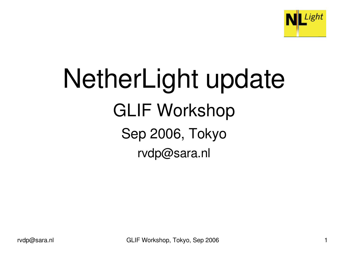

# NetherLight update GLIF Workshop Sep 2006, Tokyo rvdp@sara.nl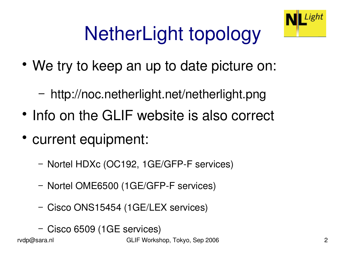

# NetherLight topology

- We try to keep an up to date picture on:
	- − http://noc.netherlight.net/netherlight.png
- Info on the GLIF website is also correct
- current equipment:
	- − Nortel HDXc (OC192, 1GE/GFPF services)
	- − Nortel OME6500 (1GE/GFPF services)
	- − Cisco ONS15454 (1GE/LEX services)
	- − Cisco 6509 (1GE services)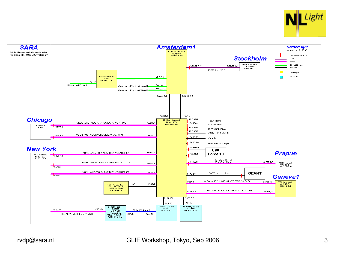

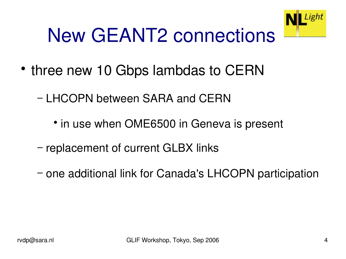## New GEANT2 connections

- three new 10 Gbps lambdas to CERN
	- − LHCOPN between SARA and CERN
		- in use when OME6500 in Geneva is present
	- − replacement of current GLBX links
	- − one additional link for Canada's LHCOPN participation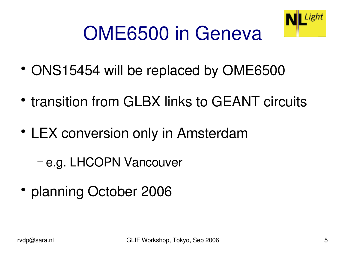

#### OME6500 in Geneva

- ONS15454 will be replaced by OME6500
- transition from GLBX links to GEANT circuits
- LEX conversion only in Amsterdam
	- − e.g. LHCOPN Vancouver
- planning October 2006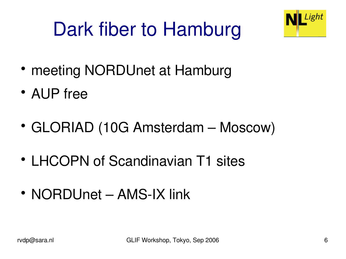## Dark fiber to Hamburg



- meeting NORDUnet at Hamburg
- AUP free
- GLORIAD (10G Amsterdam Moscow)
- LHCOPN of Scandinavian T1 sites
- NORDUnet AMS-IX link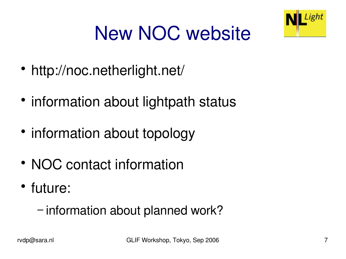

## New NOC website

- http://noc.netherlight.net/
- information about lightpath status
- information about topology
- NOC contact information
- future:
	- − information about planned work?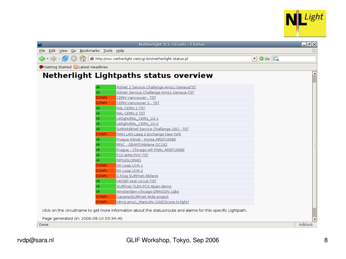

|                                           | Netherlight TL1 Circuits - Firefox                                                                              |                          | 그레지              |
|-------------------------------------------|-----------------------------------------------------------------------------------------------------------------|--------------------------|------------------|
| Eile Edit View Go Bookmarks Tools Help    |                                                                                                                 |                          |                  |
|                                           |                                                                                                                 | $\bullet$ Go $\boxed{G}$ |                  |
| Getting Started <b>N</b> Latest Headlines |                                                                                                                 |                          |                  |
|                                           | Netherlight Lightpaths status overview                                                                          |                          | $\blacktriangle$ |
| lok                                       | ASNet 2 Service Challenge-Ams1-GenevaTST                                                                        |                          |                  |
| ok                                        | ASNet Service Challenge-Ams1-Geneva-TST                                                                         |                          |                  |
| <b>DOWN</b>                               | CERN-Vancouver - TST                                                                                            |                          |                  |
| <b>DOWN</b>                               | CERN-Vancouver 2 - TST                                                                                          |                          |                  |
| ok                                        | RAL-CERN-1 TST                                                                                                  |                          |                  |
| ok                                        | RAL-CERN-2 TST                                                                                                  |                          |                  |
| ok                                        | UKlight/RAL CERN 1G-1                                                                                           |                          |                  |
| ok                                        | UKlight/RAL_CERN_1G-2                                                                                           |                          |                  |
| ok                                        | SARA/Nikhef Service Challange 10G - TST                                                                         |                          |                  |
| <b>DOWN</b>                               | MAN LAN Laag 2 Exchange New York                                                                                |                          |                  |
| ok                                        | Praque ASnet - Korea ARSP10688                                                                                  |                          |                  |
| ok                                        | IRNC - GEANT/Abilene OC192                                                                                      |                          |                  |
| ok                                        | Praque - Chicago IoP-FNAL ARSP10689                                                                             |                          |                  |
| ok                                        | F10-WAN-PHY-TST                                                                                                 |                          |                  |
| ok                                        | RIPN/GLORIAD                                                                                                    |                          |                  |
| <b>DOWN</b>                               | NY Loop UVA 1                                                                                                   |                          |                  |
| <b>DOWN</b>                               | NY Loop UVA 2                                                                                                   |                          |                  |
| <b>DOWN</b>                               | 2,5Gig SURFnet-Abilene                                                                                          |                          |                  |
| ok                                        | HKOEP-test-circuit-TST                                                                                          |                          |                  |
| ok                                        | SURFnet-TLEX-PCX-Apan-demo                                                                                      |                          |                  |
| ok                                        | Amsterdam-chicago-DRAGON-1gbs                                                                                   |                          |                  |
| <b>DOWN</b>                               | Canarie/SURFnet Wide project                                                                                    |                          |                  |
| <b>DOWN</b>                               | tdm3.ams1_ManLAN-1GIG(Score-N-light)                                                                            |                          |                  |
|                                           | click on the circuitname to get more information about the status/route and alarms for this specific Lightpath. |                          |                  |
| Page generated on: 2006-09-10 03:34:40    |                                                                                                                 |                          |                  |
| Done                                      |                                                                                                                 |                          | Adblock          |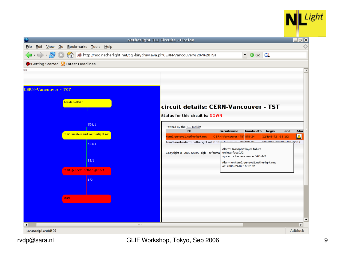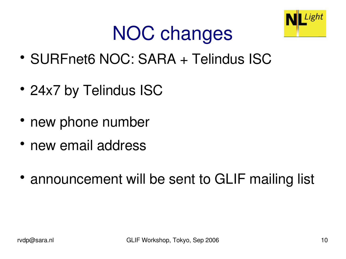

#### NOC changes

- SURFnet6 NOC: SARA + Telindus ISC
- 24x7 by Telindus ISC
- new phone number
- new email address
- announcement will be sent to GLIF mailing list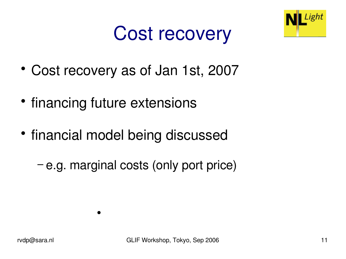#### Cost recovery



- Cost recovery as of Jan 1st, 2007
- financing future extensions

 $\bullet$ 

- financial model being discussed
	- − e.g. marginal costs (only port price)